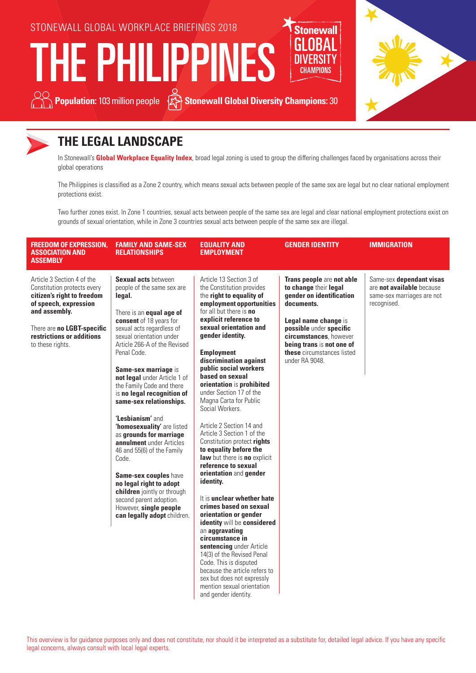

THE PHILIPPIN





## **THE LEGAL LANDSCAPE**

In Stonewall's **Global Workplace Equality Index**, broad legal zoning is used to group the differing challenges faced by organisations across their global operations

The Philippines is classified as a Zone 2 country, which means sexual acts between people of the same sex are legal but no clear national employment protections exist.

Two further zones exist. In Zone 1 countries, sexual acts between people of the same sex are legal and clear national employment protections exist on grounds of sexual orientation, while in Zone 3 countries sexual acts between people of the same sex are illegal.

| <b>FREEDOM OF EXPRESSION,</b><br><b>ASSOCIATION AND</b><br><b>ASSEMBLY</b>                                                                                                                                       | <b>FAMILY AND SAME-SEX</b><br><b>RELATIONSHIPS</b>                                                                                                                                                                                                                                                                                                                                                                                                                                                                                                                                                                                                                                                            | <b>EQUALITY AND</b><br><b>EMPLOYMENT</b>                                                                                                                                                                                                                                                                                                                                                                                                                                                                                                                                                                                                                                                                                                                                                                                                                                                                                                                                                      | <b>GENDER IDENTITY</b>                                                                                                                                                                                                                                 | <b>IMMIGRATION</b>                                                                                 |
|------------------------------------------------------------------------------------------------------------------------------------------------------------------------------------------------------------------|---------------------------------------------------------------------------------------------------------------------------------------------------------------------------------------------------------------------------------------------------------------------------------------------------------------------------------------------------------------------------------------------------------------------------------------------------------------------------------------------------------------------------------------------------------------------------------------------------------------------------------------------------------------------------------------------------------------|-----------------------------------------------------------------------------------------------------------------------------------------------------------------------------------------------------------------------------------------------------------------------------------------------------------------------------------------------------------------------------------------------------------------------------------------------------------------------------------------------------------------------------------------------------------------------------------------------------------------------------------------------------------------------------------------------------------------------------------------------------------------------------------------------------------------------------------------------------------------------------------------------------------------------------------------------------------------------------------------------|--------------------------------------------------------------------------------------------------------------------------------------------------------------------------------------------------------------------------------------------------------|----------------------------------------------------------------------------------------------------|
| Article 3 Section 4 of the<br>Constitution protects every<br>citizen's right to freedom<br>of speech, expression<br>and assembly.<br>There are no LGBT-specific<br>restrictions or additions<br>to these rights. | <b>Sexual acts between</b><br>people of the same sex are<br>legal.<br>There is an <b>equal age of</b><br>consent of 18 years for<br>sexual acts regardless of<br>sexual orientation under<br>Article 266-A of the Revised<br>Penal Code.<br>Same-sex marriage is<br>not legal under Article 1 of<br>the Family Code and there<br>is no legal recognition of<br>same-sex relationships.<br>'Lesbianism' and<br>'homosexuality' are listed<br>as grounds for marriage<br>annulment under Articles<br>46 and 55(6) of the Family<br>Code.<br>Same-sex couples have<br>no legal right to adopt<br>children jointly or through<br>second parent adoption.<br>However, single people<br>can legally adopt children. | Article 13 Section 3 of<br>the Constitution provides<br>the right to equality of<br>employment opportunities<br>for all but there is no<br>explicit reference to<br>sexual orientation and<br>gender identity.<br><b>Employment</b><br>discrimination against<br>public social workers<br>based on sexual<br>orientation is prohibited<br>under Section 17 of the<br>Magna Carta for Public<br>Social Workers.<br>Article 2 Section 14 and<br>Article 3 Section 1 of the<br>Constitution protect rights<br>to equality before the<br>law but there is no explicit<br>reference to sexual<br>orientation and gender<br>identity.<br>It is unclear whether hate<br>crimes based on sexual<br>orientation or gender<br>identity will be considered<br>an aggravating<br>circumstance in<br>sentencing under Article<br>14(3) of the Revised Penal<br>Code. This is disputed<br>because the article refers to<br>sex but does not expressly<br>mention sexual orientation<br>and gender identity. | Trans people are not able<br>to change their legal<br>gender on identification<br>documents.<br>Legal name change is<br>possible under specific<br>circumstances. however<br>being trans is not one of<br>these circumstances listed<br>under RA 9048. | Same-sex dependant visas<br>are not available because<br>same-sex marriages are not<br>recognised. |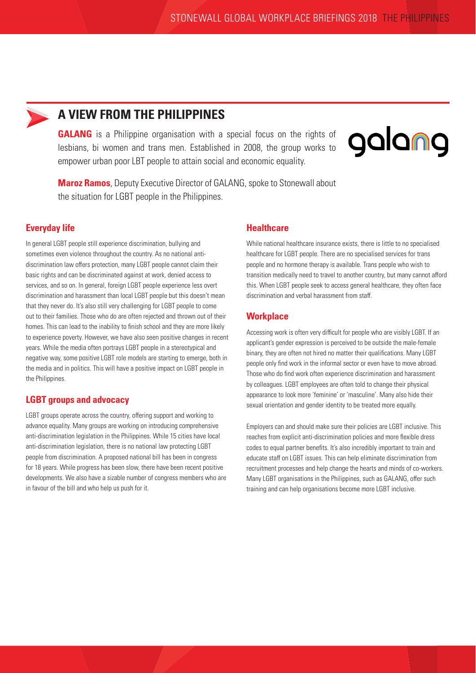

## **A VIEW FROM THE PHILIPPINES**

**GALANG** is a Philippine organisation with a special focus on the rights of lesbians, bi women and trans men. Established in 2008, the group works to empower urban poor LBT people to attain social and economic equality.



**Maroz Ramos**, Deputy Executive Director of GALANG, spoke to Stonewall about the situation for LGBT people in the Philippines.

### **Everyday life**

In general LGBT people still experience discrimination, bullying and sometimes even violence throughout the country. As no national antidiscrimination law offers protection, many LGBT people cannot claim their basic rights and can be discriminated against at work, denied access to services, and so on. In general, foreign LGBT people experience less overt discrimination and harassment than local LGBT people but this doesn't mean that they never do. It's also still very challenging for LGBT people to come out to their families. Those who do are often rejected and thrown out of their homes. This can lead to the inability to finish school and they are more likely to experience poverty. However, we have also seen positive changes in recent years. While the media often portrays LGBT people in a stereotypical and negative way, some positive LGBT role models are starting to emerge, both in the media and in politics. This will have a positive impact on LGBT people in the Philippines.

#### **LGBT groups and advocacy**

LGBT groups operate across the country, offering support and working to advance equality. Many groups are working on introducing comprehensive anti-discrimination legislation in the Philippines. While 15 cities have local anti-discrimination legislation, there is no national law protecting LGBT people from discrimination. A proposed national bill has been in congress for 18 years. While progress has been slow, there have been recent positive developments. We also have a sizable number of congress members who are in favour of the bill and who help us push for it.

#### **Healthcare**

While national healthcare insurance exists, there is little to no specialised healthcare for LGBT people. There are no specialised services for trans people and no hormone therapy is available. Trans people who wish to transition medically need to travel to another country, but many cannot afford this. When LGBT people seek to access general healthcare, they often face discrimination and verbal harassment from staff.

#### **Workplace**

Accessing work is often very difficult for people who are visibly LGBT. If an applicant's gender expression is perceived to be outside the male-female binary, they are often not hired no matter their qualifications. Many LGBT people only find work in the informal sector or even have to move abroad. Those who do find work often experience discrimination and harassment by colleagues. LGBT employees are often told to change their physical appearance to look more 'feminine' or 'masculine'. Many also hide their sexual orientation and gender identity to be treated more equally.

Employers can and should make sure their policies are LGBT inclusive. This reaches from explicit anti-discrimination policies and more flexible dress codes to equal partner benefits. It's also incredibly important to train and educate staff on LGBT issues. This can help eliminate discrimination from recruitment processes and help change the hearts and minds of co-workers. Many LGBT organisations in the Philippines, such as GALANG, offer such training and can help organisations become more LGBT inclusive.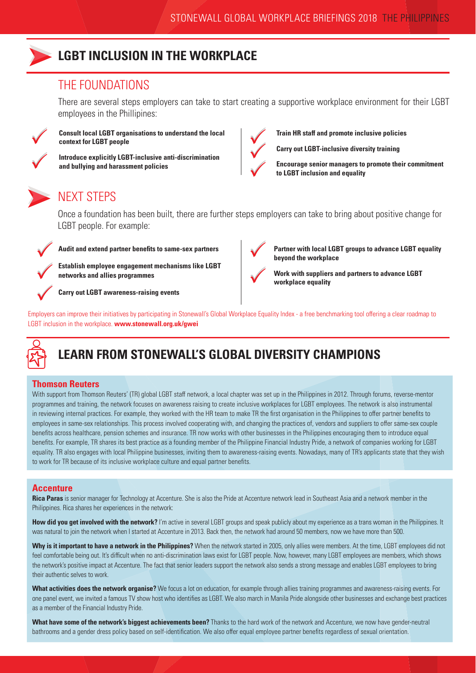

## **LGBT INCLUSION IN THE WORKPLACE**

### THE FOUNDATIONS

There are several steps employers can take to start creating a supportive workplace environment for their LGBT employees in the Phillipines:



**Consult local LGBT organisations to understand the local context for LGBT people**

**Introduce explicitly LGBT-inclusive anti-discrimination and bullying and harassment policies**



**Train HR staff and promote inclusive policies**

**Carry out LGBT-inclusive diversity training**

**Encourage senior managers to promote their commitment to LGBT inclusion and equality** 

## NEXT STEPS

Once a foundation has been built, there are further steps employers can take to bring about positive change for LGBT people. For example:



 $\bigvee$ 

Audit and extend partner benefits to same-sex partners<br> **A** Patchlick and two concernent mechanisms like LCDT

Establish employee engagement mechanisms like LGBT<br>
networks and allies programmes<br> **Property ACDIT networks and allies programmes**

**Carry out LGBT awareness-raising events**



**Partner with local LGBT groups to advance LGBT equality beyond the workplace**

**Work with suppliers and partners to advance LGBT workplace equality**

Employers can improve their initiatives by participating in Stonewall's Global Workplace Equality Index - a free benchmarking tool offering a clear roadmap to LGBT inclusion in the workplace. **www.stonewall.org.uk/gwei**



## **LEARN FROM STONEWALL'S GLOBAL DIVERSITY CHAMPIONS**

#### **Thomson Reuters**

With support from Thomson Reuters' (TR) global LGBT staff network, a local chapter was set up in the Philippines in 2012. Through forums, reverse-mentor programmes and training, the network focuses on awareness raising to create inclusive workplaces for LGBT employees. The network is also instrumental in reviewing internal practices. For example, they worked with the HR team to make TR the first organisation in the Philippines to offer partner benefits to employees in same-sex relationships. This process involved cooperating with, and changing the practices of, vendors and suppliers to offer same-sex couple benefits across healthcare, pension schemes and insurance. TR now works with other businesses in the Philippines encouraging them to introduce equal benefits. For example, TR shares its best practice as a founding member of the Philippine Financial Industry Pride, a network of companies working for LGBT equality. TR also engages with local Philippine businesses, inviting them to awareness-raising events. Nowadays, many of TR's applicants state that they wish to work for TR because of its inclusive workplace culture and equal partner benefits.

### **Accenture**

**Rica Paras** is senior manager for Technology at Accenture. She is also the Pride at Accenture network lead in Southeast Asia and a network member in the Philippines. Rica shares her experiences in the network:

**How did you get involved with the network?** I'm active in several LGBT groups and speak publicly about my experience as a trans woman in the Philippines. It was natural to join the network when I started at Accenture in 2013. Back then, the network had around 50 members, now we have more than 500.

Why is it important to have a network in the Philippines? When the network started in 2005, only allies were members. At the time, LGBT employees did not feel comfortable being out. It's difficult when no anti-discrimination laws exist for LGBT people. Now, however, many LGBT employees are members, which shows the network's positive impact at Accenture. The fact that senior leaders support the network also sends a strong message and enables LGBT employees to bring their authentic selves to work.

**What activities does the network organise?** We focus a lot on education, for example through allies training programmes and awareness-raising events. For one panel event, we invited a famous TV show host who identifies as LGBT. We also march in Manila Pride alongside other businesses and exchange best practices as a member of the Financial Industry Pride.

**What have some of the network's biggest achievements been?** Thanks to the hard work of the network and Accenture, we now have gender-neutral bathrooms and a gender dress policy based on self-identification. We also offer equal employee partner benefits regardless of sexual orientation.